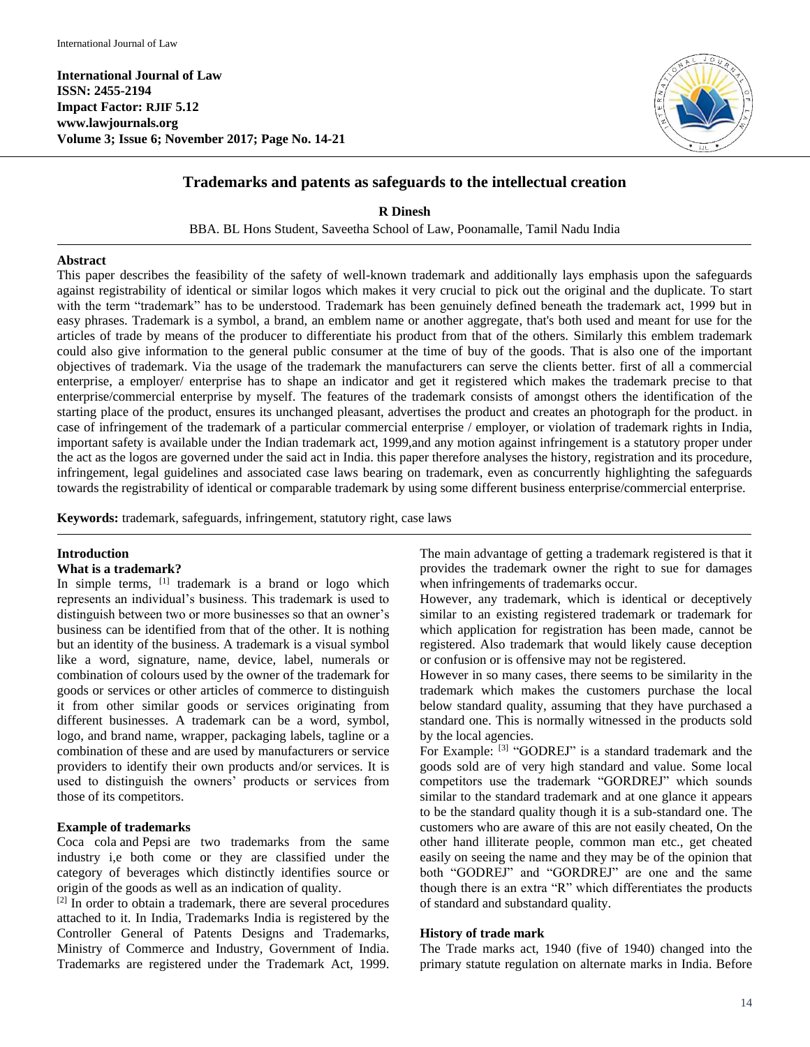**International Journal of Law ISSN: 2455-2194 Impact Factor: RJIF 5.12 www.lawjournals.org Volume 3; Issue 6; November 2017; Page No. 14-21**



# **Trademarks and patents as safeguards to the intellectual creation**

**R Dinesh** BBA. BL Hons Student, Saveetha School of Law, Poonamalle, Tamil Nadu India

#### **Abstract**

This paper describes the feasibility of the safety of well-known trademark and additionally lays emphasis upon the safeguards against registrability of identical or similar logos which makes it very crucial to pick out the original and the duplicate. To start with the term "trademark" has to be understood. Trademark has been genuinely defined beneath the trademark act, 1999 but in easy phrases. Trademark is a symbol, a brand, an emblem name or another aggregate, that's both used and meant for use for the articles of trade by means of the producer to differentiate his product from that of the others. Similarly this emblem trademark could also give information to the general public consumer at the time of buy of the goods. That is also one of the important objectives of trademark. Via the usage of the trademark the manufacturers can serve the clients better. first of all a commercial enterprise, a employer/ enterprise has to shape an indicator and get it registered which makes the trademark precise to that enterprise/commercial enterprise by myself. The features of the trademark consists of amongst others the identification of the starting place of the product, ensures its unchanged pleasant, advertises the product and creates an photograph for the product. in case of infringement of the trademark of a particular commercial enterprise / employer, or violation of trademark rights in India, important safety is available under the Indian trademark act, 1999,and any motion against infringement is a statutory proper under the act as the logos are governed under the said act in India. this paper therefore analyses the history, registration and its procedure, infringement, legal guidelines and associated case laws bearing on trademark, even as concurrently highlighting the safeguards towards the registrability of identical or comparable trademark by using some different business enterprise/commercial enterprise.

**Keywords:** trademark, safeguards, infringement, statutory right, case laws

#### **Introduction**

#### **What is a trademark?**

In simple terms,  $[1]$  trademark is a brand or logo which represents an individual's business. This trademark is used to distinguish between two or more businesses so that an owner's business can be identified from that of the other. It is nothing but an identity of the business. A trademark is a visual symbol like a word, signature, name, device, label, numerals or combination of colours used by the owner of the trademark for goods or services or other articles of commerce to distinguish it from other similar goods or services originating from different businesses. A trademark can be a word, symbol, logo, and brand name, wrapper, packaging labels, tagline or a combination of these and are used by manufacturers or service providers to identify their own products and/or services. It is used to distinguish the owners' products or services from those of its competitors.

### **Example of trademarks**

Coca cola and Pepsi are two trademarks from the same industry i,e both come or they are classified under the category of beverages which distinctly identifies source or origin of the goods as well as an indication of quality.

 $[2]$  In order to obtain a trademark, there are several procedures attached to it. In India, Trademarks India is registered by the Controller General of Patents Designs and Trademarks, Ministry of Commerce and Industry, Government of India. Trademarks are registered under the Trademark Act, 1999. The main advantage of getting a trademark registered is that it provides the trademark owner the right to sue for damages when infringements of trademarks occur.

However, any trademark, which is identical or deceptively similar to an existing registered trademark or trademark for which application for registration has been made, cannot be registered. Also trademark that would likely cause deception or confusion or is offensive may not be registered.

However in so many cases, there seems to be similarity in the trademark which makes the customers purchase the local below standard quality, assuming that they have purchased a standard one. This is normally witnessed in the products sold by the local agencies.

For Example: [3] "GODREJ" is a standard trademark and the goods sold are of very high standard and value. Some local competitors use the trademark "GORDREJ" which sounds similar to the standard trademark and at one glance it appears to be the standard quality though it is a sub-standard one. The customers who are aware of this are not easily cheated, On the other hand illiterate people, common man etc., get cheated easily on seeing the name and they may be of the opinion that both "GODREJ" and "GORDREJ" are one and the same though there is an extra "R" which differentiates the products of standard and substandard quality.

#### **History of trade mark**

The Trade marks act, 1940 (five of 1940) changed into the primary statute regulation on alternate marks in India. Before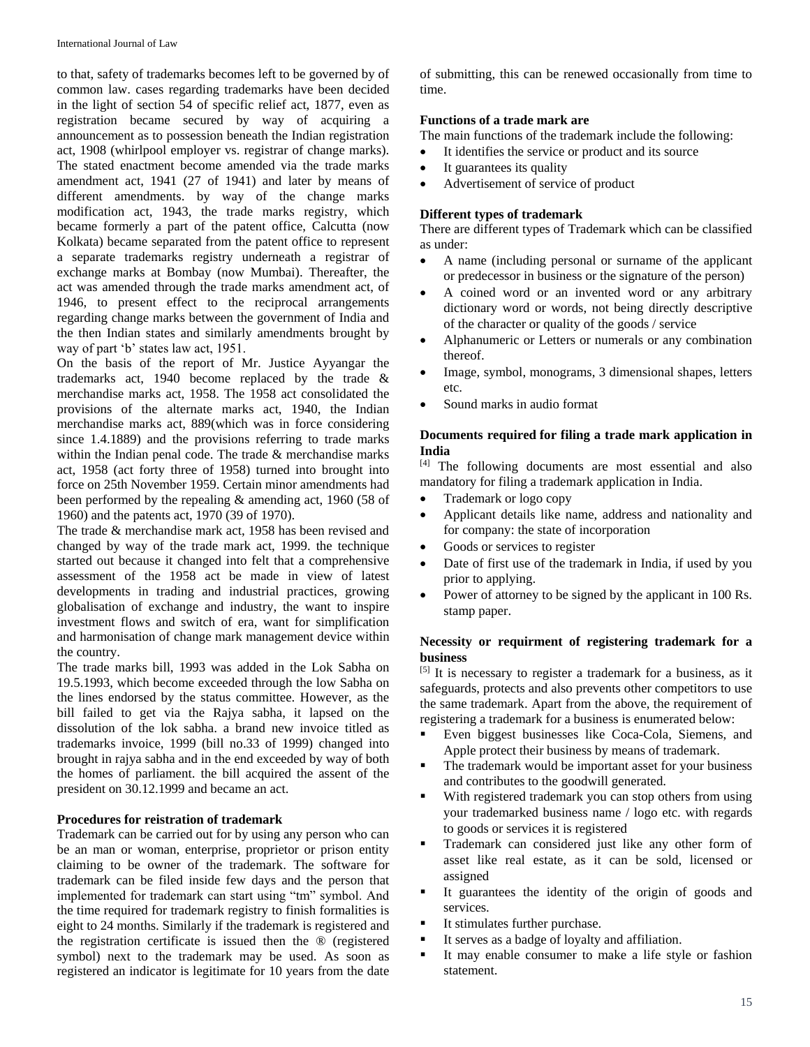to that, safety of trademarks becomes left to be governed by of common law. cases regarding trademarks have been decided in the light of section 54 of specific relief act, 1877, even as registration became secured by way of acquiring a announcement as to possession beneath the Indian registration act, 1908 (whirlpool employer vs. registrar of change marks). The stated enactment become amended via the trade marks amendment act, 1941 (27 of 1941) and later by means of different amendments. by way of the change marks modification act, 1943, the trade marks registry, which became formerly a part of the patent office, Calcutta (now Kolkata) became separated from the patent office to represent a separate trademarks registry underneath a registrar of exchange marks at Bombay (now Mumbai). Thereafter, the act was amended through the trade marks amendment act, of 1946, to present effect to the reciprocal arrangements regarding change marks between the government of India and the then Indian states and similarly amendments brought by way of part 'b' states law act, 1951.

On the basis of the report of Mr. Justice Ayyangar the trademarks act, 1940 become replaced by the trade & merchandise marks act, 1958. The 1958 act consolidated the provisions of the alternate marks act, 1940, the Indian merchandise marks act, 889(which was in force considering since 1.4.1889) and the provisions referring to trade marks within the Indian penal code. The trade & merchandise marks act, 1958 (act forty three of 1958) turned into brought into force on 25th November 1959. Certain minor amendments had been performed by the repealing & amending act, 1960 (58 of 1960) and the patents act, 1970 (39 of 1970).

The trade & merchandise mark act, 1958 has been revised and changed by way of the trade mark act, 1999. the technique started out because it changed into felt that a comprehensive assessment of the 1958 act be made in view of latest developments in trading and industrial practices, growing globalisation of exchange and industry, the want to inspire investment flows and switch of era, want for simplification and harmonisation of change mark management device within the country.

The trade marks bill, 1993 was added in the Lok Sabha on 19.5.1993, which become exceeded through the low Sabha on the lines endorsed by the status committee. However, as the bill failed to get via the Rajya sabha, it lapsed on the dissolution of the lok sabha. a brand new invoice titled as trademarks invoice, 1999 (bill no.33 of 1999) changed into brought in rajya sabha and in the end exceeded by way of both the homes of parliament. the bill acquired the assent of the president on 30.12.1999 and became an act.

#### **Procedures for reistration of trademark**

Trademark can be carried out for by using any person who can be an man or woman, enterprise, proprietor or prison entity claiming to be owner of the trademark. The software for trademark can be filed inside few days and the person that implemented for trademark can start using "tm" symbol. And the time required for trademark registry to finish formalities is eight to 24 months. Similarly if the trademark is registered and the registration certificate is issued then the ® (registered symbol) next to the trademark may be used. As soon as registered an indicator is legitimate for 10 years from the date

of submitting, this can be renewed occasionally from time to time.

### **Functions of a trade mark are**

The main functions of the trademark include the following:

- It identifies the service or product and its source
- It guarantees its quality
- Advertisement of service of product

# **Different types of trademark**

There are different types of Trademark which can be classified as under:

- A name (including personal or surname of the applicant or predecessor in business or the signature of the person)
- A coined word or an invented word or any arbitrary dictionary word or words, not being directly descriptive of the character or quality of the goods / service
- Alphanumeric or Letters or numerals or any combination thereof.
- Image, symbol, monograms, 3 dimensional shapes, letters etc.
- Sound marks in audio format

# **Documents required for filing a trade mark application in India**

[4] The following documents are most essential and also mandatory for filing a trademark application in India.

- Trademark or logo copy
- Applicant details like name, address and nationality and for company: the state of incorporation
- Goods or services to register
- Date of first use of the trademark in India, if used by you prior to applying.
- Power of attorney to be signed by the applicant in 100 Rs. stamp paper.

# **Necessity or requirment of registering trademark for a business**

[5] It is necessary to register a trademark for a business, as it safeguards, protects and also prevents other competitors to use the same trademark. Apart from the above, the requirement of registering a trademark for a business is enumerated below:

- Even biggest businesses like Coca-Cola, Siemens, and Apple protect their business by means of trademark.
- The trademark would be important asset for your business and contributes to the goodwill generated.
- With registered trademark you can stop others from using your trademarked business name / logo etc. with regards to goods or services it is registered
- Trademark can considered just like any other form of asset like real estate, as it can be sold, licensed or assigned
- It guarantees the identity of the origin of goods and services.
- **It stimulates further purchase.**
- It serves as a badge of loyalty and affiliation.
- It may enable consumer to make a life style or fashion statement.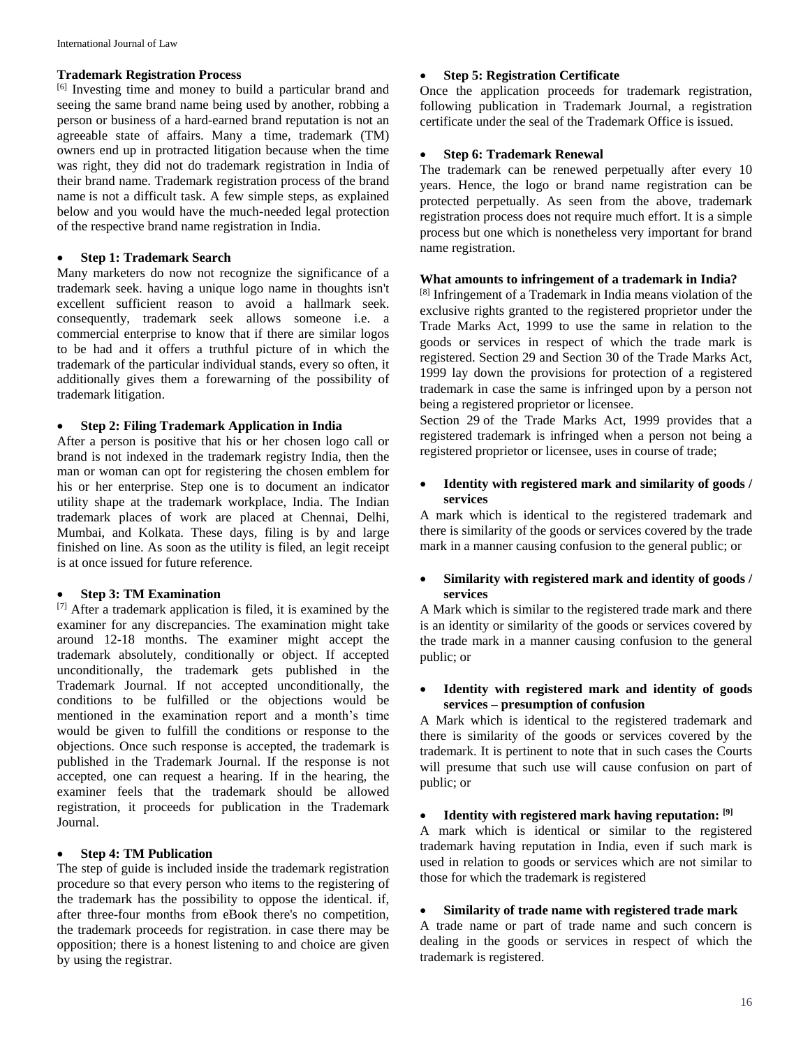# **Trademark Registration Process**

[6] Investing time and money to build a particular brand and seeing the same brand name being used by another, robbing a person or business of a hard-earned brand reputation is not an agreeable state of affairs. Many a time, trademark (TM) owners end up in protracted litigation because when the time was right, they did not do trademark registration in India of their brand name. Trademark registration process of the brand name is not a difficult task. A few simple steps, as explained below and you would have the much-needed legal protection of the respective brand name registration in India.

#### **Step 1: Trademark Search**

Many marketers do now not recognize the significance of a trademark seek. having a unique logo name in thoughts isn't excellent sufficient reason to avoid a hallmark seek. consequently, trademark seek allows someone i.e. a commercial enterprise to know that if there are similar logos to be had and it offers a truthful picture of in which the trademark of the particular individual stands, every so often, it additionally gives them a forewarning of the possibility of trademark litigation.

### **Step 2: Filing Trademark Application in India**

After a person is positive that his or her chosen logo call or brand is not indexed in the trademark registry India, then the man or woman can opt for registering the chosen emblem for his or her enterprise. Step one is to document an indicator utility shape at the trademark workplace, India. The Indian trademark places of work are placed at Chennai, Delhi, Mumbai, and Kolkata. These days, filing is by and large finished on line. As soon as the utility is filed, an legit receipt is at once issued for future reference.

### **Step 3: TM Examination**

[7] After a trademark application is filed, it is examined by the examiner for any discrepancies. The examination might take around 12-18 months. The examiner might accept the trademark absolutely, conditionally or object. If accepted unconditionally, the trademark gets published in the Trademark Journal. If not accepted unconditionally, the conditions to be fulfilled or the objections would be mentioned in the examination report and a month's time would be given to fulfill the conditions or response to the objections. Once such response is accepted, the trademark is published in the Trademark Journal. If the response is not accepted, one can request a hearing. If in the hearing, the examiner feels that the trademark should be allowed registration, it proceeds for publication in the Trademark Journal.

# **Step 4: TM Publication**

The step of guide is included inside the trademark registration procedure so that every person who items to the registering of the trademark has the possibility to oppose the identical. if, after three-four months from eBook there's no competition, the trademark proceeds for registration. in case there may be opposition; there is a honest listening to and choice are given by using the registrar.

# **Step 5: Registration Certificate**

Once the application proceeds for trademark registration, following publication in Trademark Journal, a registration certificate under the seal of the Trademark Office is issued.

# **Step 6: Trademark Renewal**

The trademark can be renewed perpetually after every 10 years. Hence, the logo or brand name registration can be protected perpetually. As seen from the above, trademark registration process does not require much effort. It is a simple process but one which is nonetheless very important for brand name registration.

#### **What amounts to infringement of a trademark in India?**

[8] Infringement of a Trademark in India means violation of the exclusive rights granted to the registered proprietor under the Trade Marks Act, 1999 to use the same in relation to the goods or services in respect of which the trade mark is registered. Section 29 and Section 30 of the Trade Marks Act, 1999 lay down the provisions for protection of a registered trademark in case the same is infringed upon by a person not being a registered proprietor or licensee.

Section 29 of the Trade Marks Act, 1999 provides that a registered trademark is infringed when a person not being a registered proprietor or licensee, uses in course of trade;

# **Identity with registered mark and similarity of goods / services**

A mark which is identical to the registered trademark and there is similarity of the goods or services covered by the trade mark in a manner causing confusion to the general public; or

### **Similarity with registered mark and identity of goods / services**

A Mark which is similar to the registered trade mark and there is an identity or similarity of the goods or services covered by the trade mark in a manner causing confusion to the general public; or

### **Identity with registered mark and identity of goods services – presumption of confusion**

A Mark which is identical to the registered trademark and there is similarity of the goods or services covered by the trademark. It is pertinent to note that in such cases the Courts will presume that such use will cause confusion on part of public; or

# **Identity with registered mark having reputation: [9]**

A mark which is identical or similar to the registered trademark having reputation in India, even if such mark is used in relation to goods or services which are not similar to those for which the trademark is registered

### **Similarity of trade name with registered trade mark**

A trade name or part of trade name and such concern is dealing in the goods or services in respect of which the trademark is registered.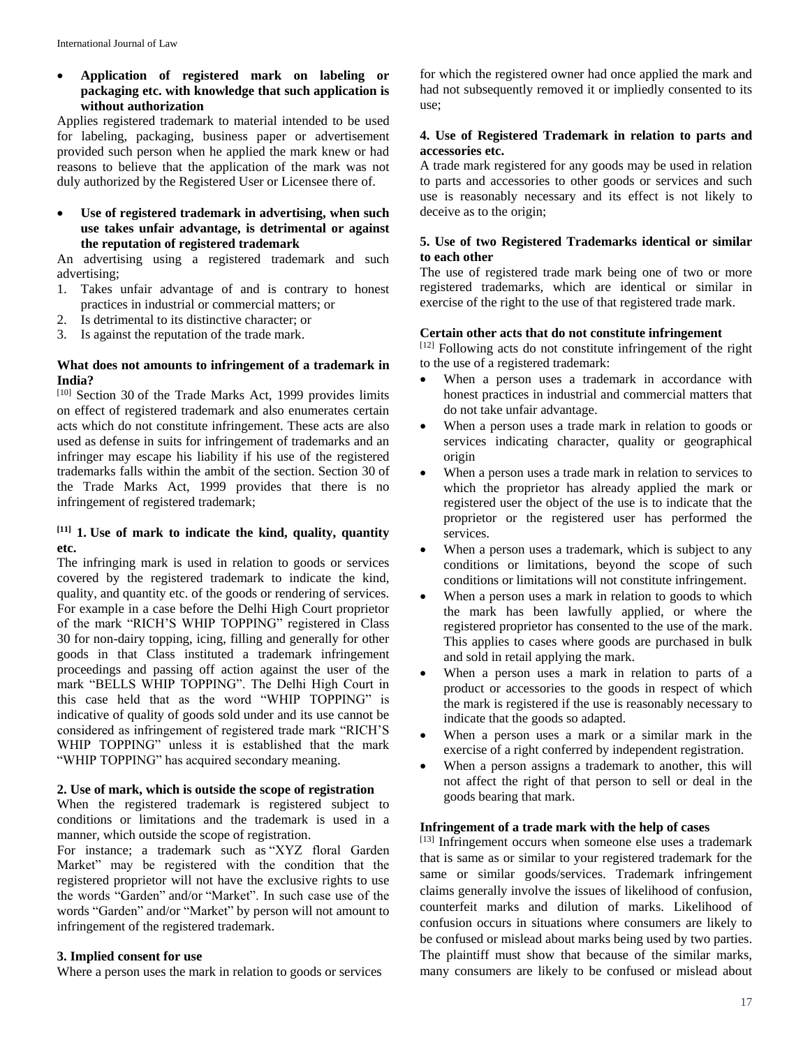# **Application of registered mark on labeling or packaging etc. with knowledge that such application is without authorization**

Applies registered trademark to material intended to be used for labeling, packaging, business paper or advertisement provided such person when he applied the mark knew or had reasons to believe that the application of the mark was not duly authorized by the Registered User or Licensee there of.

### **Use of registered trademark in advertising, when such use takes unfair advantage, is detrimental or against the reputation of registered trademark**

An advertising using a registered trademark and such advertising;

- 1. Takes unfair advantage of and is contrary to honest practices in industrial or commercial matters; or
- 2. Is detrimental to its distinctive character; or
- 3. Is against the reputation of the trade mark.

#### **What does not amounts to infringement of a trademark in India?**

 $[10]$  Section 30 of the Trade Marks Act, 1999 provides limits on effect of registered trademark and also enumerates certain acts which do not constitute infringement. These acts are also used as defense in suits for infringement of trademarks and an infringer may escape his liability if his use of the registered trademarks falls within the ambit of the section. Section 30 of the Trade Marks Act, 1999 provides that there is no infringement of registered trademark;

# **[11] 1. Use of mark to indicate the kind, quality, quantity etc.**

The infringing mark is used in relation to goods or services covered by the registered trademark to indicate the kind, quality, and quantity etc. of the goods or rendering of services. For example in a case before the Delhi High Court proprietor of the mark "RICH'S WHIP TOPPING" registered in Class 30 for non-dairy topping, icing, filling and generally for other goods in that Class instituted a trademark infringement proceedings and passing off action against the user of the mark "BELLS WHIP TOPPING". The Delhi High Court in this case held that as the word "WHIP TOPPING" is indicative of quality of goods sold under and its use cannot be considered as infringement of registered trade mark "RICH'S WHIP TOPPING" unless it is established that the mark "WHIP TOPPING" has acquired secondary meaning.

# **2. Use of mark, which is outside the scope of registration**

When the registered trademark is registered subject to conditions or limitations and the trademark is used in a manner, which outside the scope of registration.

For instance; a trademark such as "XYZ floral Garden Market" may be registered with the condition that the registered proprietor will not have the exclusive rights to use the words "Garden" and/or "Market". In such case use of the words "Garden" and/or "Market" by person will not amount to infringement of the registered trademark.

# **3. Implied consent for use**

Where a person uses the mark in relation to goods or services

for which the registered owner had once applied the mark and had not subsequently removed it or impliedly consented to its use;

# **4. Use of Registered Trademark in relation to parts and accessories etc.**

A trade mark registered for any goods may be used in relation to parts and accessories to other goods or services and such use is reasonably necessary and its effect is not likely to deceive as to the origin;

### **5. Use of two Registered Trademarks identical or similar to each other**

The use of registered trade mark being one of two or more registered trademarks, which are identical or similar in exercise of the right to the use of that registered trade mark.

### **Certain other acts that do not constitute infringement**

[12] Following acts do not constitute infringement of the right to the use of a registered trademark:

- When a person uses a trademark in accordance with honest practices in industrial and commercial matters that do not take unfair advantage.
- When a person uses a trade mark in relation to goods or services indicating character, quality or geographical origin
- When a person uses a trade mark in relation to services to which the proprietor has already applied the mark or registered user the object of the use is to indicate that the proprietor or the registered user has performed the services.
- When a person uses a trademark, which is subject to any conditions or limitations, beyond the scope of such conditions or limitations will not constitute infringement.
- When a person uses a mark in relation to goods to which the mark has been lawfully applied, or where the registered proprietor has consented to the use of the mark. This applies to cases where goods are purchased in bulk and sold in retail applying the mark.
- When a person uses a mark in relation to parts of a product or accessories to the goods in respect of which the mark is registered if the use is reasonably necessary to indicate that the goods so adapted.
- When a person uses a mark or a similar mark in the exercise of a right conferred by independent registration.
- When a person assigns a trademark to another, this will not affect the right of that person to sell or deal in the goods bearing that mark.

#### **Infringement of a trade mark with the help of cases**

[13] Infringement occurs when someone else uses a trademark that is same as or similar to your registered trademark for the same or similar goods/services. Trademark infringement claims generally involve the issues of likelihood of confusion, counterfeit marks and dilution of marks. Likelihood of confusion occurs in situations where consumers are likely to be confused or mislead about marks being used by two parties. The plaintiff must show that because of the similar marks, many consumers are likely to be confused or mislead about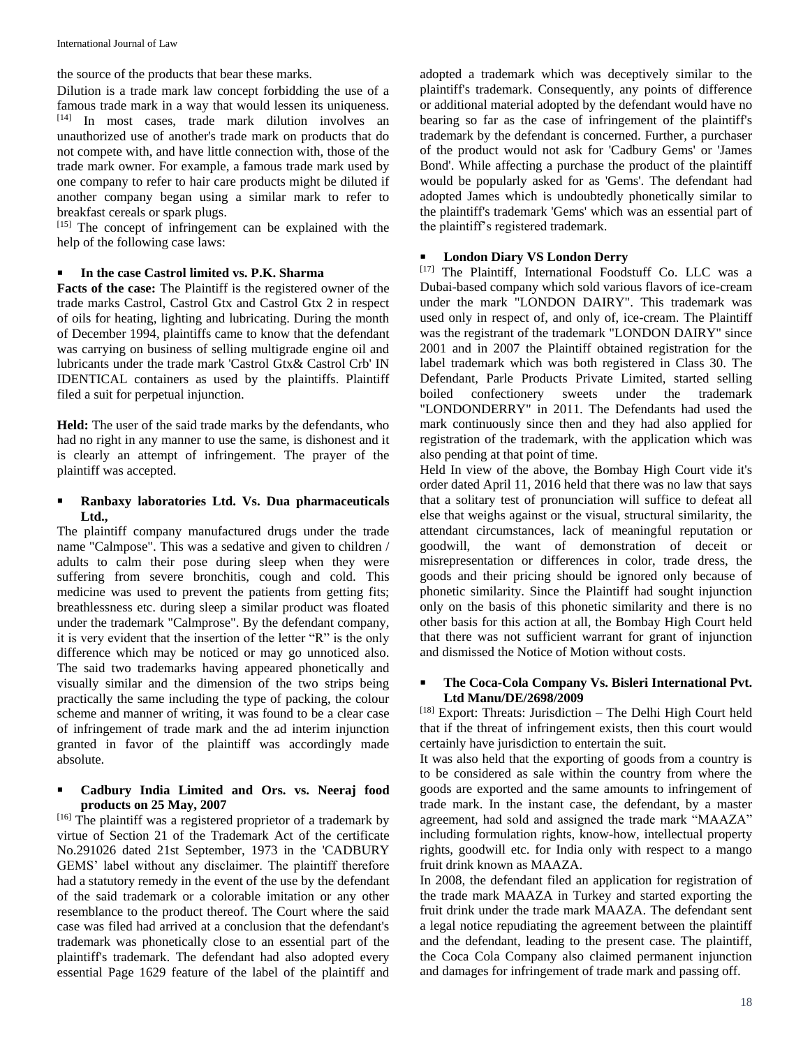the source of the products that bear these marks.

Dilution is a trade mark law concept forbidding the use of a famous trade mark in a way that would lessen its uniqueness. [14] In most cases, trade mark dilution involves an unauthorized use of another's trade mark on products that do not compete with, and have little connection with, those of the trade mark owner. For example, a famous trade mark used by one company to refer to hair care products might be diluted if another company began using a similar mark to refer to breakfast cereals or spark plugs.

[15] The concept of infringement can be explained with the help of the following case laws:

# **In the case Castrol limited vs. P.K. Sharma**

**Facts of the case:** The Plaintiff is the registered owner of the trade marks Castrol, Castrol Gtx and Castrol Gtx 2 in respect of oils for heating, lighting and lubricating. During the month of December 1994, plaintiffs came to know that the defendant was carrying on business of selling multigrade engine oil and lubricants under the trade mark 'Castrol Gtx& Castrol Crb' IN IDENTICAL containers as used by the plaintiffs. Plaintiff filed a suit for perpetual injunction.

**Held:** The user of the said trade marks by the defendants, who had no right in any manner to use the same, is dishonest and it is clearly an attempt of infringement. The prayer of the plaintiff was accepted.

# **Ranbaxy laboratories Ltd. Vs. Dua pharmaceuticals Ltd.,**

The plaintiff company manufactured drugs under the trade name "Calmpose". This was a sedative and given to children / adults to calm their pose during sleep when they were suffering from severe bronchitis, cough and cold. This medicine was used to prevent the patients from getting fits; breathlessness etc. during sleep a similar product was floated under the trademark "Calmprose". By the defendant company, it is very evident that the insertion of the letter "R" is the only difference which may be noticed or may go unnoticed also. The said two trademarks having appeared phonetically and visually similar and the dimension of the two strips being practically the same including the type of packing, the colour scheme and manner of writing, it was found to be a clear case of infringement of trade mark and the ad interim injunction granted in favor of the plaintiff was accordingly made absolute.

# **Cadbury India Limited and Ors. vs. Neeraj food products on 25 May, 2007**

[16] The plaintiff was a registered proprietor of a trademark by virtue of Section 21 of the Trademark Act of the certificate No.291026 dated 21st September, 1973 in the 'CADBURY GEMS' label without any disclaimer. The plaintiff therefore had a statutory remedy in the event of the use by the defendant of the said trademark or a colorable imitation or any other resemblance to the product thereof. The Court where the said case was filed had arrived at a conclusion that the defendant's trademark was phonetically close to an essential part of the plaintiff's trademark. The defendant had also adopted every essential Page 1629 feature of the label of the plaintiff and

adopted a trademark which was deceptively similar to the plaintiff's trademark. Consequently, any points of difference or additional material adopted by the defendant would have no bearing so far as the case of infringement of the plaintiff's trademark by the defendant is concerned. Further, a purchaser of the product would not ask for 'Cadbury Gems' or 'James Bond'. While affecting a purchase the product of the plaintiff would be popularly asked for as 'Gems'. The defendant had adopted James which is undoubtedly phonetically similar to the plaintiff's trademark 'Gems' which was an essential part of the plaintiff's registered trademark.

# **London Diary VS London Derry**

[17] The Plaintiff, International Foodstuff Co. LLC was a Dubai-based company which sold various flavors of ice-cream under the mark "LONDON DAIRY". This trademark was used only in respect of, and only of, ice-cream. The Plaintiff was the registrant of the trademark "LONDON DAIRY" since 2001 and in 2007 the Plaintiff obtained registration for the label trademark which was both registered in Class 30. The Defendant, Parle Products Private Limited, started selling boiled confectionery sweets under the trademark "LONDONDERRY" in 2011. The Defendants had used the mark continuously since then and they had also applied for registration of the trademark, with the application which was also pending at that point of time.

Held In view of the above, the Bombay High Court vide it's order dated April 11, 2016 held that there was no law that says that a solitary test of pronunciation will suffice to defeat all else that weighs against or the visual, structural similarity, the attendant circumstances, lack of meaningful reputation or goodwill, the want of demonstration of deceit or misrepresentation or differences in color, trade dress, the goods and their pricing should be ignored only because of phonetic similarity. Since the Plaintiff had sought injunction only on the basis of this phonetic similarity and there is no other basis for this action at all, the Bombay High Court held that there was not sufficient warrant for grant of injunction and dismissed the Notice of Motion without costs.

# **The Coca-Cola Company Vs. Bisleri International Pvt. Ltd Manu/DE/2698/2009**

[18] Export: Threats: Jurisdiction – The Delhi High Court held that if the threat of infringement exists, then this court would certainly have jurisdiction to entertain the suit.

It was also held that the exporting of goods from a country is to be considered as sale within the country from where the goods are exported and the same amounts to infringement of trade mark. In the instant case, the defendant, by a master agreement, had sold and assigned the trade mark "MAAZA" including formulation rights, know-how, intellectual property rights, goodwill etc. for India only with respect to a mango fruit drink known as MAAZA.

In 2008, the defendant filed an application for registration of the trade mark MAAZA in Turkey and started exporting the fruit drink under the trade mark MAAZA. The defendant sent a legal notice repudiating the agreement between the plaintiff and the defendant, leading to the present case. The plaintiff, the Coca Cola Company also claimed permanent injunction and damages for infringement of trade mark and passing off.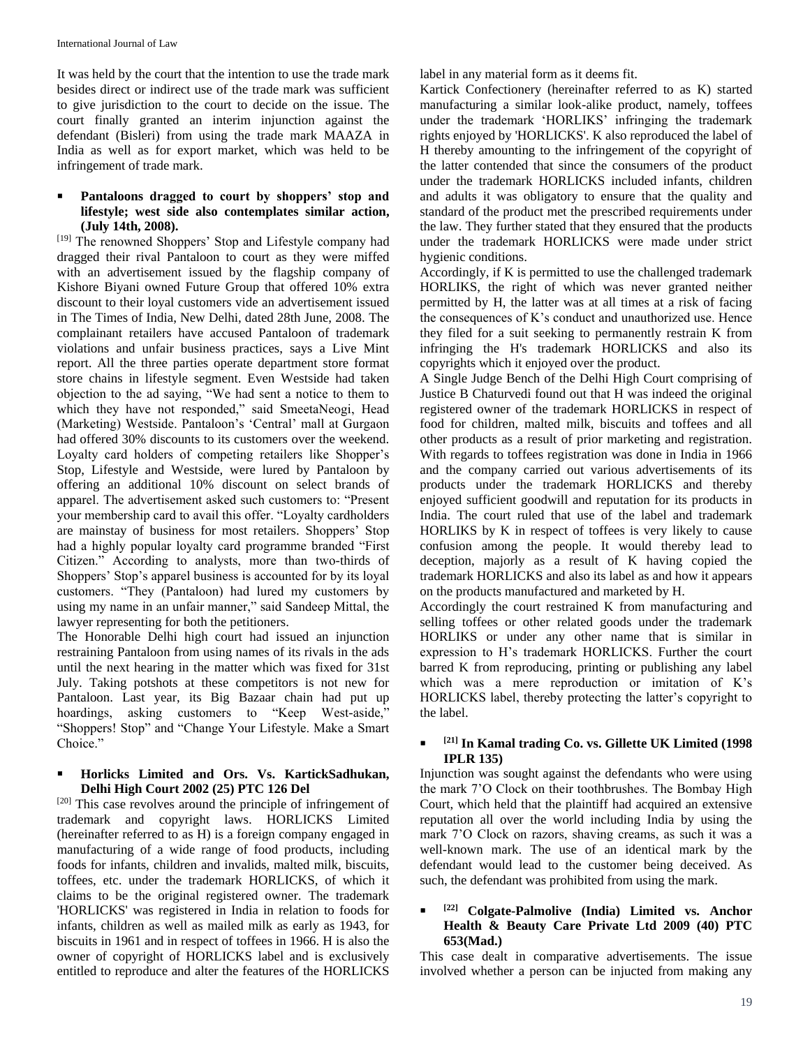International Journal of Law

It was held by the court that the intention to use the trade mark besides direct or indirect use of the trade mark was sufficient to give jurisdiction to the court to decide on the issue. The court finally granted an interim injunction against the defendant (Bisleri) from using the trade mark MAAZA in India as well as for export market, which was held to be infringement of trade mark.

# **Pantaloons dragged to court by shoppers' stop and lifestyle; west side also contemplates similar action, (July 14th, 2008).**

[19] The renowned Shoppers' Stop and Lifestyle company had dragged their rival Pantaloon to court as they were miffed with an advertisement issued by the flagship company of Kishore Biyani owned Future Group that offered 10% extra discount to their loyal customers vide an advertisement issued in The Times of India, New Delhi, dated 28th June, 2008. The complainant retailers have accused Pantaloon of trademark violations and unfair business practices, says a Live Mint report. All the three parties operate department store format store chains in lifestyle segment. Even Westside had taken objection to the ad saying, "We had sent a notice to them to which they have not responded," said SmeetaNeogi, Head (Marketing) Westside. Pantaloon's 'Central' mall at Gurgaon had offered 30% discounts to its customers over the weekend. Loyalty card holders of competing retailers like Shopper's Stop, Lifestyle and Westside, were lured by Pantaloon by offering an additional 10% discount on select brands of apparel. The advertisement asked such customers to: "Present your membership card to avail this offer. "Loyalty cardholders are mainstay of business for most retailers. Shoppers' Stop had a highly popular loyalty card programme branded "First Citizen." According to analysts, more than two-thirds of Shoppers' Stop's apparel business is accounted for by its loyal customers. "They (Pantaloon) had lured my customers by using my name in an unfair manner," said Sandeep Mittal, the lawyer representing for both the petitioners.

The Honorable Delhi high court had issued an injunction restraining Pantaloon from using names of its rivals in the ads until the next hearing in the matter which was fixed for 31st July. Taking potshots at these competitors is not new for Pantaloon. Last year, its Big Bazaar chain had put up hoardings, asking customers to "Keep West-aside," "Shoppers! Stop" and "Change Your Lifestyle. Make a Smart Choice."

# **Horlicks Limited and Ors. Vs. KartickSadhukan, Delhi High Court 2002 (25) PTC 126 Del**

[20] This case revolves around the principle of infringement of trademark and copyright laws. HORLICKS Limited (hereinafter referred to as H) is a foreign company engaged in manufacturing of a wide range of food products, including foods for infants, children and invalids, malted milk, biscuits, toffees, etc. under the trademark HORLICKS, of which it claims to be the original registered owner. The trademark 'HORLICKS' was registered in India in relation to foods for infants, children as well as mailed milk as early as 1943, for biscuits in 1961 and in respect of toffees in 1966. H is also the owner of copyright of HORLICKS label and is exclusively entitled to reproduce and alter the features of the HORLICKS label in any material form as it deems fit.

Kartick Confectionery (hereinafter referred to as K) started manufacturing a similar look-alike product, namely, toffees under the trademark 'HORLIKS' infringing the trademark rights enjoyed by 'HORLICKS'. K also reproduced the label of H thereby amounting to the infringement of the copyright of the latter contended that since the consumers of the product under the trademark HORLICKS included infants, children and adults it was obligatory to ensure that the quality and standard of the product met the prescribed requirements under the law. They further stated that they ensured that the products under the trademark HORLICKS were made under strict hygienic conditions.

Accordingly, if K is permitted to use the challenged trademark HORLIKS, the right of which was never granted neither permitted by H, the latter was at all times at a risk of facing the consequences of K's conduct and unauthorized use. Hence they filed for a suit seeking to permanently restrain K from infringing the H's trademark HORLICKS and also its copyrights which it enjoyed over the product.

A Single Judge Bench of the Delhi High Court comprising of Justice B Chaturvedi found out that H was indeed the original registered owner of the trademark HORLICKS in respect of food for children, malted milk, biscuits and toffees and all other products as a result of prior marketing and registration. With regards to toffees registration was done in India in 1966 and the company carried out various advertisements of its products under the trademark HORLICKS and thereby enjoyed sufficient goodwill and reputation for its products in India. The court ruled that use of the label and trademark HORLIKS by K in respect of toffees is very likely to cause confusion among the people. It would thereby lead to deception, majorly as a result of K having copied the trademark HORLICKS and also its label as and how it appears on the products manufactured and marketed by H.

Accordingly the court restrained K from manufacturing and selling toffees or other related goods under the trademark HORLIKS or under any other name that is similar in expression to H's trademark HORLICKS. Further the court barred K from reproducing, printing or publishing any label which was a mere reproduction or imitation of K's HORLICKS label, thereby protecting the latter's copyright to the label.

#### . **[21] In Kamal trading Co. vs. Gillette UK Limited (1998 IPLR 135)**

Injunction was sought against the defendants who were using the mark 7'O Clock on their toothbrushes. The Bombay High Court, which held that the plaintiff had acquired an extensive reputation all over the world including India by using the mark 7'O Clock on razors, shaving creams, as such it was a well-known mark. The use of an identical mark by the defendant would lead to the customer being deceived. As such, the defendant was prohibited from using the mark.

#### ı **[22] Colgate-Palmolive (India) Limited vs. Anchor Health & Beauty Care Private Ltd 2009 (40) PTC 653(Mad.)**

This case dealt in comparative advertisements. The issue involved whether a person can be injucted from making any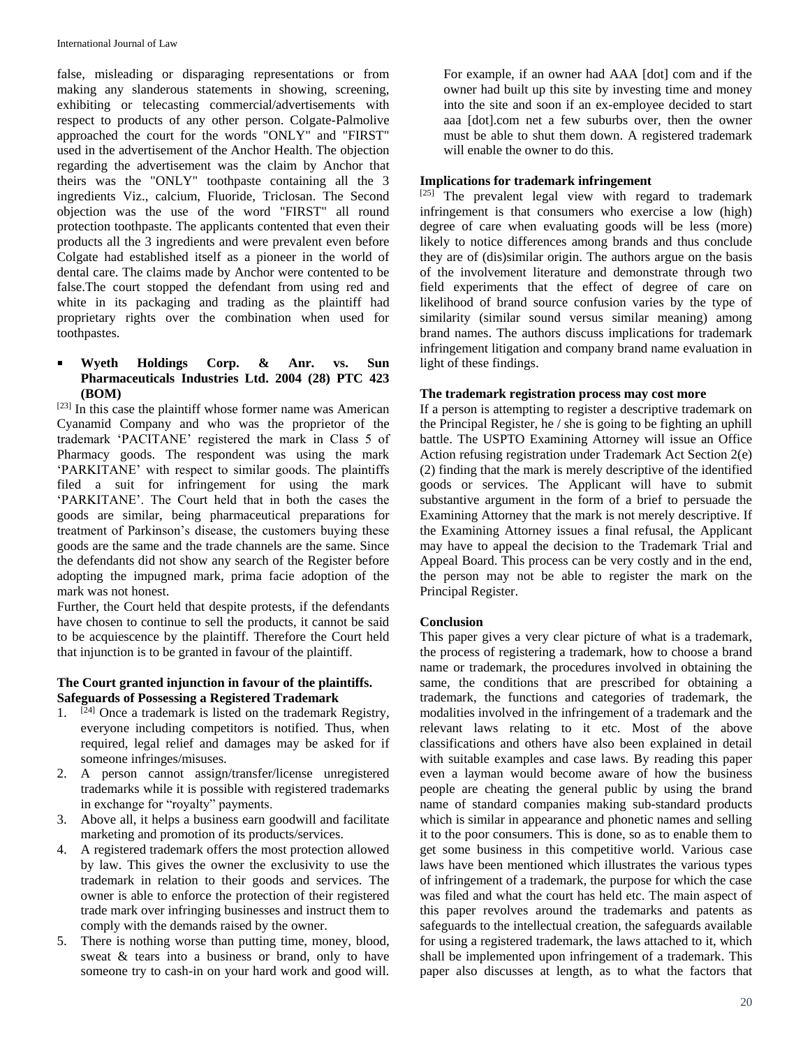false, misleading or disparaging representations or from making any slanderous statements in showing, screening, exhibiting or telecasting commercial/advertisements with respect to products of any other person. Colgate-Palmolive approached the court for the words "ONLY" and "FIRST" used in the advertisement of the Anchor Health. The objection regarding the advertisement was the claim by Anchor that theirs was the "ONLY" toothpaste containing all the 3 ingredients Viz., calcium, Fluoride, Triclosan. The Second objection was the use of the word "FIRST" all round protection toothpaste. The applicants contented that even their products all the 3 ingredients and were prevalent even before Colgate had established itself as a pioneer in the world of dental care. The claims made by Anchor were contented to be false.The court stopped the defendant from using red and white in its packaging and trading as the plaintiff had proprietary rights over the combination when used for toothpastes.

# **Wyeth Holdings Corp. & Anr. vs. Sun Pharmaceuticals Industries Ltd. 2004 (28) PTC 423 (BOM)**

 $[23]$  In this case the plaintiff whose former name was American Cyanamid Company and who was the proprietor of the trademark 'PACITANE' registered the mark in Class 5 of Pharmacy goods. The respondent was using the mark 'PARKITANE' with respect to similar goods. The plaintiffs filed a suit for infringement for using the mark 'PARKITANE'. The Court held that in both the cases the goods are similar, being pharmaceutical preparations for treatment of Parkinson's disease, the customers buying these goods are the same and the trade channels are the same. Since the defendants did not show any search of the Register before adopting the impugned mark, prima facie adoption of the mark was not honest.

Further, the Court held that despite protests, if the defendants have chosen to continue to sell the products, it cannot be said to be acquiescence by the plaintiff. Therefore the Court held that injunction is to be granted in favour of the plaintiff.

#### **The Court granted injunction in favour of the plaintiffs. Safeguards of Possessing a Registered Trademark**

- 1.  $[24]$  Once a trademark is listed on the trademark Registry, everyone including competitors is notified. Thus, when required, legal relief and damages may be asked for if someone infringes/misuses.
- 2. A person cannot assign/transfer/license unregistered trademarks while it is possible with registered trademarks in exchange for "royalty" payments.
- 3. Above all, it helps a business earn goodwill and facilitate marketing and promotion of its products/services.
- 4. A registered trademark offers the most protection allowed by law. This gives the owner the exclusivity to use the trademark in relation to their goods and services. The owner is able to enforce the protection of their registered trade mark over infringing businesses and instruct them to comply with the demands raised by the owner.
- 5. There is nothing worse than putting time, money, blood, sweat & tears into a business or brand, only to have someone try to cash-in on your hard work and good will.

For example, if an owner had AAA [dot] com and if the owner had built up this site by investing time and money into the site and soon if an ex-employee decided to start aaa [dot].com net a few suburbs over, then the owner must be able to shut them down. A registered trademark will enable the owner to do this.

# **Implications for trademark infringement**

[25] The prevalent legal view with regard to trademark infringement is that consumers who exercise a low (high) degree of care when evaluating goods will be less (more) likely to notice differences among brands and thus conclude they are of (dis)similar origin. The authors argue on the basis of the involvement literature and demonstrate through two field experiments that the effect of degree of care on likelihood of brand source confusion varies by the type of similarity (similar sound versus similar meaning) among brand names. The authors discuss implications for trademark infringement litigation and company brand name evaluation in light of these findings.

#### **The trademark registration process may cost more**

If a person is attempting to register a descriptive trademark on the Principal Register, he / she is going to be fighting an uphill battle. The USPTO Examining Attorney will issue an Office Action refusing registration under Trademark Act Section 2(e) (2) finding that the mark is merely descriptive of the identified goods or services. The Applicant will have to submit substantive argument in the form of a brief to persuade the Examining Attorney that the mark is not merely descriptive. If the Examining Attorney issues a final refusal, the Applicant may have to appeal the decision to the Trademark Trial and Appeal Board. This process can be very costly and in the end, the person may not be able to register the mark on the Principal Register.

# **Conclusion**

This paper gives a very clear picture of what is a trademark, the process of registering a trademark, how to choose a brand name or trademark, the procedures involved in obtaining the same, the conditions that are prescribed for obtaining a trademark, the functions and categories of trademark, the modalities involved in the infringement of a trademark and the relevant laws relating to it etc. Most of the above classifications and others have also been explained in detail with suitable examples and case laws. By reading this paper even a layman would become aware of how the business people are cheating the general public by using the brand name of standard companies making sub-standard products which is similar in appearance and phonetic names and selling it to the poor consumers. This is done, so as to enable them to get some business in this competitive world. Various case laws have been mentioned which illustrates the various types of infringement of a trademark, the purpose for which the case was filed and what the court has held etc. The main aspect of this paper revolves around the trademarks and patents as safeguards to the intellectual creation, the safeguards available for using a registered trademark, the laws attached to it, which shall be implemented upon infringement of a trademark. This paper also discusses at length, as to what the factors that